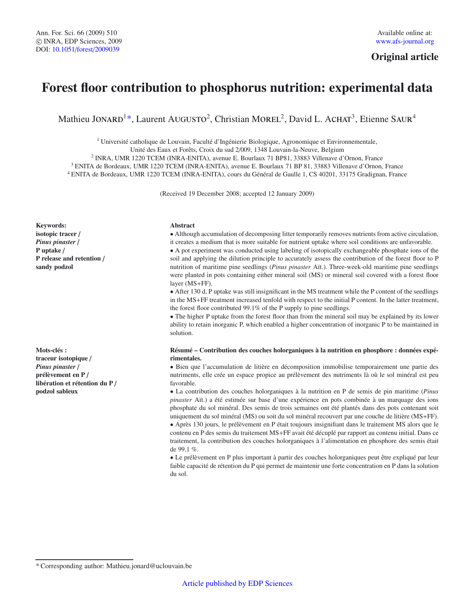## **Original article**

# **Forest floor contribution to phosphorus nutrition: experimental data**

Mathieu JONARD<sup>1\*</sup>, Laurent AUGUSTO<sup>2</sup>, Christian MOREL<sup>2</sup>, David L. ACHAT<sup>3</sup>, Etienne SAUR<sup>4</sup>

<sup>1</sup> Université catholique de Louvain, Faculté d'Ingénierie Biologique, Agronomique et Environnementale, Unité des Eaux et Forêts, Croix du sud 2/009, 1348 Louvain-la-Neuve, Belgium

<sup>2</sup> INRA, UMR 1220 TCEM (INRA-ENITA), avenue E. Bourlaux 71 BP81, 33883 Villenave d'Ornon, France

<sup>3</sup> ENITA de Bordeaux, UMR 1220 TCEM (INRA-ENITA), avenue E. Bourlaux 71 BP 81, 33883 Villenave d'Ornon, France

<sup>4</sup> ENITA de Bordeaux, UMR 1220 TCEM (INRA-ENITA), cours du Général de Gaulle 1, CS 40201, 33175 Gradignan, France

(Received 19 December 2008; accepted 12 January 2009)

**Keywords: isotopic tracer** / *Pinus pinaster* / **P uptake** / **P release and retention** / **sandy podzol**

**Mots-clés : traceur isotopique** / *Pinus pinaster* / **prélèvement en P** / **libération et rétention du P** / **podzol sableux**

## **Abstract**

• Although accumulation of decomposing litter temporarily removes nutrients from active circulation, it creates a medium that is more suitable for nutrient uptake where soil conditions are unfavorable. • A pot experiment was conducted using labeling of isotopically exchangeable phosphate ions of the soil and applying the dilution principle to accurately assess the contribution of the forest floor to P nutrition of maritime pine seedlings (*Pinus pinaster* Aït.). Three-week-old maritime pine seedlings were planted in pots containing either mineral soil (MS) or mineral soil covered with a forest floor layer (MS+FF).

• After 130 d, P uptake was still insignificant in the MS treatment while the P content of the seedlings in the MS+FF treatment increased tenfold with respect to the initial P content. In the latter treatment, the forest floor contributed 99.1% of the P supply to pine seedlings.

• The higher P uptake from the forest floor than from the mineral soil may be explained by its lower ability to retain inorganic P, which enabled a higher concentration of inorganic P to be maintained in solution.

## **Résumé – Contribution des couches holorganiques à la nutrition en phosphore : données expérimentales.**

• Bien que l'accumulation de litière en décomposition immobilise temporairement une partie des nutriments, elle crée un espace propice au prélèvement des nutriments là où le sol minéral est peu favorable.

• La contribution des couches holorganiques à la nutrition en P de semis de pin maritime (*Pinus pinaster* Aït.) a été estimée sur base d'une expérience en pots combinée à un marquage des ions phosphate du sol minéral. Des semis de trois semaines ont été plantés dans des pots contenant soit uniquement du sol minéral (MS) ou soit du sol minéral recouvert par une couche de litière (MS+FF). • Après 130 jours, le prélèvement en P était toujours insignifiant dans le traitement MS alors que le contenu en P des semis du traitement MS+FF avait été décuplé par rapport au contenu initial. Dans ce traitement, la contribution des couches holorganiques à l'alimentation en phosphore des semis était de 99,1 %.

• Le prélèvement en P plus important à partir des couches holorganiques peut être expliqué par leur faible capacité de rétention du P qui permet de maintenir une forte concentration en P dans la solution du sol.

<sup>\*</sup> Corresponding author: Mathieu.jonard@uclouvain.be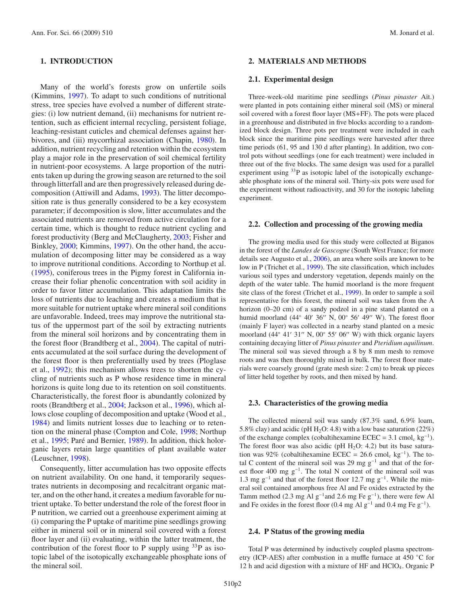## **1. INTRODUCTION**

Many of the world's forests grow on unfertile soils (Kimmins, [1997](#page-8-0)). To adapt to such conditions of nutritional stress, tree species have evolved a number of different strategies: (i) low nutrient demand, (ii) mechanisms for nutrient retention, such as efficient internal recycling, persistent foliage, leaching-resistant cuticles and chemical defenses against herbivores, and (iii) mycorrhizal association (Chapin, [1980\)](#page-8-1). In addition, nutrient recycling and retention within the ecosystem play a major role in the preservation of soil chemical fertility in nutrient-poor ecosystems. A large proportion of the nutrients taken up during the growing season are returned to the soil through litterfall and are then progressively released during decomposition (Attiwill and Adams, [1993\)](#page-7-0). The litter decomposition rate is thus generally considered to be a key ecosystem parameter; if decomposition is slow, litter accumulates and the associated nutrients are removed from active circulation for a certain time, which is thought to reduce nutrient cycling and forest productivity (Berg and McClaugherty, [2003;](#page-8-2) Fisher and Binkley, [2000;](#page-8-3) Kimmins, [1997\)](#page-8-0). On the other hand, the accumulation of decomposing litter may be considered as a way to improve nutritional conditions. According to Northup et al. [\(1995\)](#page-8-4), coniferous trees in the Pigmy forest in California increase their foliar phenolic concentration with soil acidity in order to favor litter accumulation. This adaptation limits the loss of nutrients due to leaching and creates a medium that is more suitable for nutrient uptake where mineral soil conditions are unfavorable. Indeed, trees may improve the nutritional status of the uppermost part of the soil by extracting nutrients from the mineral soil horizons and by concentrating them in the forest floor (Brandtberg et al., [2004](#page-8-5)). The capital of nutrients accumulated at the soil surface during the development of the forest floor is then preferentially used by trees (Ploglase et al., [1992](#page-8-6)); this mechanism allows trees to shorten the cycling of nutrients such as P whose residence time in mineral horizons is quite long due to its retention on soil constituents. Characteristically, the forest floor is abundantly colonized by roots (Brandtberg et al., [2004](#page-8-5); Jackson et al., [1996\)](#page-8-7), which allows close coupling of decomposition and uptake (Wood et al., [1984\)](#page-8-8) and limits nutrient losses due to leaching or to retention on the mineral phase (Compton and Cole, [1998;](#page-8-9) Northup et al., [1995;](#page-8-4) Paré and Bernier, [1989](#page-8-10)). In addition, thick holorganic layers retain large quantities of plant available water (Leuschner, [1998](#page-8-11)).

Consequently, litter accumulation has two opposite effects on nutrient availability. On one hand, it temporarily sequestrates nutrients in decomposing and recalcitrant organic matter, and on the other hand, it creates a medium favorable for nutrient uptake. To better understand the role of the forest floor in P nutrition, we carried out a greenhouse experiment aiming at (i) comparing the P uptake of maritime pine seedlings growing either in mineral soil or in mineral soil covered with a forest floor layer and (ii) evaluating, within the latter treatment, the contribution of the forest floor to P supply using  $33P$  as isotopic label of the isotopically exchangeable phosphate ions of the mineral soil.

### **2. MATERIALS AND METHODS**

### **2.1. Experimental design**

Three-week-old maritime pine seedlings (*Pinus pinaster* Aït.) were planted in pots containing either mineral soil (MS) or mineral soil covered with a forest floor layer (MS+FF). The pots were placed in a greenhouse and distributed in five blocks according to a randomized block design. Three pots per treatment were included in each block since the maritime pine seedlings were harvested after three time periods (61, 95 and 130 d after planting). In addition, two control pots without seedlings (one for each treatment) were included in three out of the five blocks. The same design was used for a parallel experiment using  $^{33}P$  as isotopic label of the isotopically exchangeable phosphate ions of the mineral soil. Thirty-six pots were used for the experiment without radioactivity, and 30 for the isotopic labeling experiment.

#### **2.2. Collection and processing of the growing media**

The growing media used for this study were collected at Biganos in the forest of the *Landes de Gascogne* (South West France; for more details see Augusto et al., [2006\)](#page-7-1), an area where soils are known to be low in P (Trichet et al., [1999](#page-8-12)). The site classification, which includes various soil types and understory vegetation, depends mainly on the depth of the water table. The humid moorland is the more frequent site class of the forest (Trichet et al., [1999\)](#page-8-12). In order to sample a soil representative for this forest, the mineral soil was taken from the A horizon (0–20 cm) of a sandy podzol in a pine stand planted on a humid moorland (44 $\degree$  40′ 36″ N, 00 $\degree$  56′ 49″ W). The forest floor (mainly F layer) was collected in a nearby stand planted on a mesic moorland (44° 41′ 31″ N, 00° 55′ 06″ W) with thick organic layers containing decaying litter of *Pinus pinaster* and *Pteridium aquilinum*. The mineral soil was sieved through a 8 by 8 mm mesh to remove roots and was then thoroughly mixed in bulk. The forest floor materials were coarsely ground (grate mesh size: 2 cm) to break up pieces of litter held together by roots, and then mixed by hand.

#### **2.3. Characteristics of the growing media**

The collected mineral soil was sandy (87.3% sand, 6.9% loam, 5.8% clay) and acidic (pH H<sub>2</sub>O: 4.8) with a low base saturation (22%) of the exchange complex (cobaltihexamine ECEC =  $3.1 \text{ cmol}_c \text{ kg}^{-1}$ ). The forest floor was also acidic (pH  $H<sub>2</sub>O$ : 4.2) but its base saturation was 92% (cobaltihexamine ECEC = 26.6 cmol<sub>c</sub> kg<sup>-1</sup>). The total C content of the mineral soil was 29 mg  $g^{-1}$  and that of the forest floor 400 mg g−1. The total N content of the mineral soil was 1.3 mg g<sup>-1</sup> and that of the forest floor 12.7 mg g<sup>-1</sup>. While the mineral soil contained amorphous free Al and Fe oxides extracted by the Tamm method (2.3 mg Al g<sup>-1</sup>and 2.6 mg Fe g<sup>-1</sup>), there were few Al and Fe oxides in the forest floor (0.4 mg Al  $g^{-1}$  and 0.4 mg Fe  $g^{-1}$ ).

#### **2.4. P Status of the growing media**

Total P was determined by inductively coupled plasma spectrometry (ICP-AES) after combustion in a muffle furnace at 450 ◦C for 12 h and acid digestion with a mixture of HF and HClO<sub>4</sub>. Organic P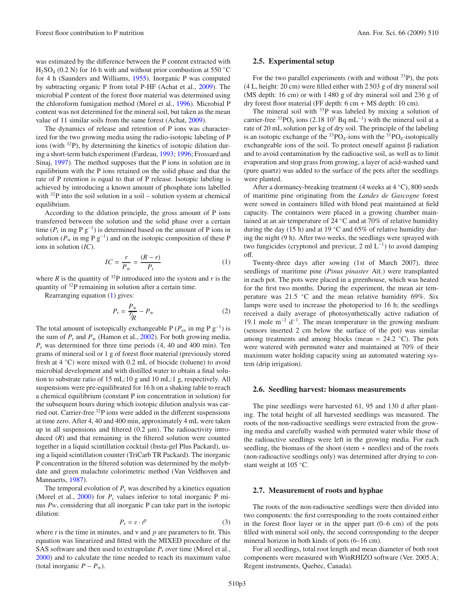was estimated by the difference between the P content extracted with  $H<sub>2</sub>SO<sub>4</sub>$  (0.2 N) for 16 h with and without prior combustion at 550 °C for 4 h (Saunders and Williams, [1955](#page-8-13)). Inorganic P was computed by subtracting organic P from total P-HF (Achat et al., [2009\)](#page-7-2). The microbial P content of the forest floor material was determined using the chloroform fumigation method (Morel et al., [1996](#page-8-14)). Microbial P content was not determined for the mineral soil, but taken as the mean value of 11 similar soils from the same forest (Achat, [2009](#page-7-3)).

<span id="page-2-0"></span>The dynamics of release and retention of P ions was characterized for the two growing media using the radio-isotopic labeling of P ions (with  $32P$ ), by determining the kinetics of isotopic dilution during a short-term batch experiment (Fardeau, [1993](#page-8-15); [1996](#page-8-16); Frossard and Sinaj, [1997](#page-8-17)). The method supposes that the P ions in solution are in equilibrium with the P ions retained on the solid phase and that the rate of P retention is equal to that of P release. Isotopic labeling is achieved by introducing a known amount of phosphate ions labelled with  $32P$  into the soil solution in a soil – solution system at chemical equilibrium.

According to the dilution principle, the gross amount of P ions transferred between the solution and the solid phase over a certain time ( $P_r$  in mg P g<sup>-1</sup>) is determined based on the amount of P ions in solution ( $P_w$  in mg P g<sup>-1</sup>) and on the isotopic composition of these P ions in solution (*IC*).

$$
IC = \frac{r}{P_{\rm w}} = \frac{(R - r)}{P_{\rm r}}\tag{1}
$$

where *R* is the quantity of  $^{32}P$  introduced into the system and *r* is the quantity of 32P remaining in solution after a certain time.

Rearranging equation [\(1\)](#page-2-0) gives:

$$
P_{\rm r} = \frac{P_{\rm w}}{\eta_R} - P_{\rm w} \tag{2}
$$

<span id="page-2-1"></span>The total amount of isotopically exchangeable P ( $P_{ex}$  in mg P g<sup>-1</sup>) is the sum of  $P_r$  and  $P_w$  (Hamon et al., [2002](#page-8-18)). For both growing media,  $P_r$  was determined for three time periods  $(4, 40 \text{ and } 400 \text{ min})$ . Ten grams of mineral soil or 1 g of forest floor material (previously stored fresh at  $4^{\circ}$ C) were mixed with 0.2 mL of biocide (toluene) to avoid microbial development and with distilled water to obtain a final solution to substrate ratio of 15 mL:10 g and 10 mL:1 g, respectively. All suspensions were pre-equilibrated for 16 h on a shaking table to reach a chemical equilibrium (constant P ion concentration in solution) for the subsequent hours during which isotopic dilution analysis was carried out. Carrier-free 32P ions were added in the different suspensions at time zero. After 4, 40 and 400 min, approximately 4 mL were taken up in all suspensions and filtered  $(0.2 \mu m)$ . The radioactivity introduced (*R*) and that remaining in the filtered solution were counted together in a liquid scintillation cocktail (Insta-gel Plus Packard), using a liquid scintillation counter (TriCarb TR Packard). The inorganic P concentration in the filtered solution was determined by the molybdate and green malachite colorimetric method (Van Veldhoven and Mannaerts, [1987\)](#page-8-19).

The temporal evolution of  $P_r$  was described by a kinetics equation (Morel et al.,  $2000$ ) for  $P_r$  values inferior to total inorganic P minus *Pw*, considering that all inorganic P can take part in the isotopic dilution:

$$
P_{\rm r} = v \cdot t^{\rm p} \tag{3}
$$

where  $t$  is the time in minutes, and  $v$  and  $p$  are parameters to fit. This equation was linearized and fitted with the MIXED procedure of the SAS software and then used to extrapolate  $P_r$  over time (Morel et al., [2000](#page-8-20)) and to calculate the time needed to reach its maximum value (total inorganic  $P - P_w$ ).

## **2.5. Experimental setup**

For the two parallel experiments (with and without  $^{33}P$ ), the pots (4 L, height: 20 cm) were filled either with 2 503 g of dry mineral soil (MS depth: 16 cm) or with 1 480 g of dry mineral soil and 236 g of dry forest floor material (FF depth: 6 cm + MS depth: 10 cm).

The mineral soil with  $^{33}P$  was labeled by mixing a solution of carrier-free <sup>33</sup>PO<sub>4</sub> ions (2.18 10<sup>5</sup> Bq mL<sup>-1</sup>) with the mineral soil at a rate of 20 mL solution per kg of dry soil. The principle of the labeling is an isotopic exchange of the  ${}^{33}PO_4$ -ions with the  ${}^{31}PO_4$ -isotopically exchangeable ions of the soil. To protect oneself against β radiation and to avoid contamination by the radioactive soil, as well as to limit evaporation and stop grass from growing, a layer of acid-washed sand (pure quartz) was added to the surface of the pots after the seedlings were planted.

After a dormancy-breaking treatment (4 weeks at 4 ◦C), 800 seeds of maritime pine originating from the *Landes de Gascogne* forest were sowed in containers filled with blond peat maintained at field capacity. The containers were placed in a growing chamber maintained at an air temperature of 24 ◦C and at 70% of relative humidity during the day (15 h) and at 19  $°C$  and 65% of relative humidity during the night (9 h). After two weeks, the seedlings were sprayed with two fungicides (cryptonol and previcur, 2 ml  $L^{-1}$ ) to avoid damping off.

Twenty-three days after sowing (1st of March 2007), three seedlings of maritime pine (*Pinus pinaster* Aït.) were transplanted in each pot. The pots were placed in a greenhouse, which was heated for the first two months. During the experiment, the mean air temperature was 21.5 ◦C and the mean relative humidity 69%. Six lamps were used to increase the photoperiod to 16 h; the seedlings received a daily average of photosynthetically active radiation of 19.1 mole  $m^{-2}$  d<sup>-1</sup>. The mean temperature in the growing medium (sensors inserted 2 cm below the surface of the pot) was similar among treatments and among blocks (mean =  $24.2 \text{ °C}$ ). The pots were watered with permuted water and maintained at 70% of their maximum water holding capacity using an automated watering system (drip irrigation).

#### **2.6. Seedling harvest: biomass measurements**

The pine seedlings were harvested 61, 95 and 130 d after planting. The total height of all harvested seedlings was measured. The roots of the non-radioactive seedlings were extracted from the growing media and carefully washed with permuted water while those of the radioactive seedlings were left in the growing media. For each seedling, the biomass of the shoot (stem + needles) and of the roots (non-radioactive seedlings only) was determined after drying to constant weight at 105 °C.

#### **2.7. Measurement of roots and hyphae**

The roots of the non-radioactive seedlings were then divided into two components: the first corresponding to the roots contained either in the forest floor layer or in the upper part (0–6 cm) of the pots filled with mineral soil only, the second corresponding to the deeper mineral horizon in both kinds of pots (6–16 cm).

For all seedlings, total root length and mean diameter of both root components were measured with WinRHIZO software (Ver. 2005.A; Regent instruments, Quebec, Canada).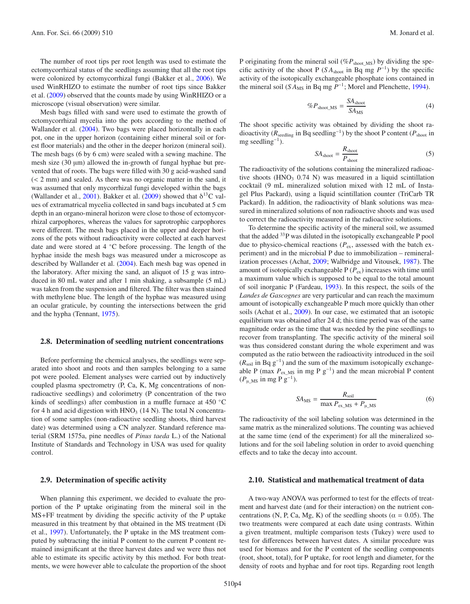The number of root tips per root length was used to estimate the ectomycorrhizal status of the seedlings assuming that all the root tips were colonized by ectomycorrhizal fungi (Bakker et al., [2006](#page-7-4)). We used WinRHIZO to estimate the number of root tips since Bakker et al. [\(2009](#page-7-5)) observed that the counts made by using WinRHIZO or a microscope (visual observation) were similar.

Mesh bags filled with sand were used to estimate the growth of ectomycorrhizal mycelia into the pots according to the method of Wallander et al. [\(2004](#page-8-21)). Two bags were placed horizontally in each pot, one in the upper horizon (containing either mineral soil or forest floor materials) and the other in the deeper horizon (mineral soil). The mesh bags (6 by 6 cm) were sealed with a sewing machine. The mesh size (30 μm) allowed the in-growth of fungal hyphae but prevented that of roots. The bags were filled with 30 g acid-washed sand  $(< 2$  mm) and sealed. As there was no organic matter in the sand, it was assumed that only mycorrhizal fungi developed within the bags (Wallander et al., [2001\)](#page-8-22). Bakker et al. [\(2009\)](#page-7-5) showed that  $\delta^{13}C$  values of extramatrical mycelia collected in sand bags incubated at 5 cm depth in an organo-mineral horizon were close to those of ectomycorrhizal carpophores, whereas the values for saprotrophic carpophores were different. The mesh bags placed in the upper and deeper horizons of the pots without radioactivity were collected at each harvest date and were stored at 4 ◦C before processing. The length of the hyphae inside the mesh bags was measured under a microscope as described by Wallander et al. [\(2004\)](#page-8-21). Each mesh bag was opened in the laboratory. After mixing the sand, an aliquot of 15 g was introduced in 80 mL water and after 1 min shaking, a subsample (5 mL) was taken from the suspension and filtered. The filter was then stained with methylene blue. The length of the hyphae was measured using an ocular graticule, by counting the intersections between the grid and the hypha (Tennant, [1975](#page-8-23)).

#### **2.8. Determination of seedling nutrient concentrations**

Before performing the chemical analyses, the seedlings were separated into shoot and roots and then samples belonging to a same pot were pooled. Element analyses were carried out by inductively coupled plasma spectrometry (P, Ca, K, Mg concentrations of nonradioactive seedlings) and colorimetry (P concentration of the two kinds of seedlings) after combustion in a muffle furnace at 450 ◦C for 4 h and acid digestion with  $HNO<sub>3</sub>$  (14 N). The total N concentration of some samples (non-radioactive seedling shoots, third harvest date) was determined using a CN analyzer. Standard reference material (SRM 1575a, pine needles of *Pinus taeda* L.) of the National Institute of Standards and Technology in USA was used for quality control.

#### **2.9. Determination of specific activity**

When planning this experiment, we decided to evaluate the proportion of the P uptake originating from the mineral soil in the MS+FF treatment by dividing the specific activity of the P uptake measured in this treatment by that obtained in the MS treatment (Di et al., [1997\)](#page-8-24). Unfortunately, the P uptake in the MS treatment computed by subtracting the initial P content to the current P content remained insignificant at the three harvest dates and we were thus not able to estimate its specific activity by this method. For both treatments, we were however able to calculate the proportion of the shoot

P originating from the mineral soil ( $\%P_{\text{shoot MS}}$ ) by dividing the specific activity of the shoot P ( $SA<sub>shoot</sub>$  in Bq mg  $P^{-1}$ ) by the specific activity of the isotopically exchangeable phosphate ions contained in the mineral soil ( $S A_{MS}$  in Bq mg  $P^{-1}$ ; Morel and Plenchette, [1994\)](#page-8-25).

$$
\%P_{\text{shoot}\_\text{MS}} = \frac{SA_{\text{shoot}}}{SA_{\text{MS}}}
$$
(4)

The shoot specific activity was obtained by dividing the shoot radioactivity ( $R_{\text{seedling}}$  in Bq seedling<sup>-1</sup>) by the shoot P content ( $P_{\text{shoot}}$  in mg seedling−1).

$$
SA_{\text{shoot}} = \frac{R_{\text{shoot}}}{P_{\text{shoot}}} \tag{5}
$$

The radioactivity of the solutions containing the mineralized radioactive shoots  $(HNO<sub>3</sub> 0.74 N)$  was measured in a liquid scintillation cocktail (9 mL mineralized solution mixed with 12 mL of Instagel Plus Packard), using a liquid scintillation counter (TriCarb TR Packard). In addition, the radioactivity of blank solutions was measured in mineralized solutions of non radioactive shoots and was used to correct the radioactivity measured in the radioactive solutions.

To determine the specific activity of the mineral soil, we assumed that the added 33P was diluted in the isotopically exchangeable P pool due to physico-chemical reactions  $(P_{ex}$ , assessed with the batch experiment) and in the microbial P due to immobilization – remineralization processes (Achat, [2009](#page-7-3); Walbridge and Vitousek, [1987](#page-8-26)). The amount of isotopically exchangeable  $P(P_{ex})$  increases with time until a maximum value which is supposed to be equal to the total amount of soil inorganic P (Fardeau, [1993](#page-8-15)). In this respect, the soils of the *Landes de Gascognes* are very particular and can reach the maximum amount of isotopically exchangeable P much more quickly than other soils (Achat et al., [2009](#page-7-2)). In our case, we estimated that an isotopic equilibrium was obtained after 24 d; this time period was of the same magnitude order as the time that was needed by the pine seedlings to recover from transplanting. The specific activity of the mineral soil was thus considered constant during the whole experiment and was computed as the ratio between the radioactivity introduced in the soil  $(R_{\text{soil}}$  in Bq  $g^{-1}$ ) and the sum of the maximum isotopically exchangeable P (max  $P_{\text{ex}\_\text{MS}}$  in mg P g<sup>-1</sup>) and the mean microbial P content  $(P_{\mu \text{MS}}$  in mg P g<sup>-1</sup>).

$$
SA_{\text{MS}} = \frac{R_{\text{soil}}}{\max P_{\text{ex\_MS}} + P_{\mu \text{MS}}}
$$
(6)

The radioactivity of the soil labeling solution was determined in the same matrix as the mineralized solutions. The counting was achieved at the same time (end of the experiment) for all the mineralized solutions and for the soil labeling solution in order to avoid quenching effects and to take the decay into account.

## **2.10. Statistical and mathematical treatment of data**

A two-way ANOVA was performed to test for the effects of treatment and harvest date (and for their interaction) on the nutrient concentrations (N, P, Ca, Mg, K) of the seedling shoots ( $\alpha = 0.05$ ). The two treatments were compared at each date using contrasts. Within a given treatment, multiple comparison tests (Tukey) were used to test for differences between harvest dates. A similar procedure was used for biomass and for the P content of the seedling components (root, shoot, total), for P uptake, for root length and diameter, for the density of roots and hyphae and for root tips. Regarding root length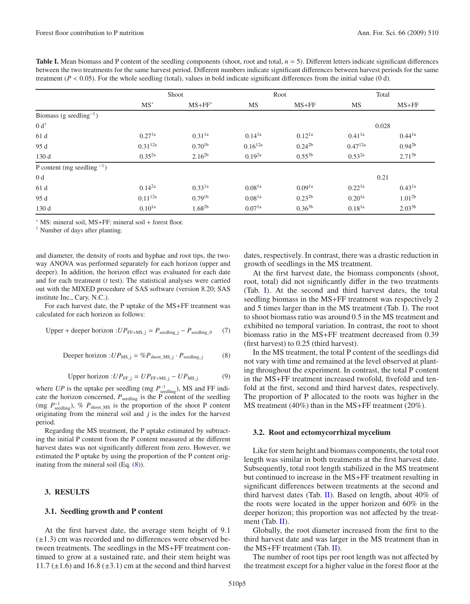<span id="page-4-1"></span>**Table I.** Mean biomass and P content of the seedling components (shoot, root and total,  $n = 5$ ). Different letters indicate significant differences between the two treatments for the same harvest period. Different numbers indicate significant differences between harvest periods for the same treatment  $(P < 0.05)$ . For the whole seedling (total), values in bold indicate significant differences from the initial value (0 d).

|                                     | Shoot        |             |              | Root        | Total        |             |
|-------------------------------------|--------------|-------------|--------------|-------------|--------------|-------------|
|                                     | $MS^*$       | $MS + FF^*$ | <b>MS</b>    | $MS + FF$   | MS           | $MS + FF$   |
| Biomass (g seedling <sup>-1</sup> ) |              |             |              |             |              |             |
| $0\;\mathrm{d}^\dagger$             |              |             |              |             |              | 0.028       |
| 61 d                                | $0.27^{1a}$  | $0.31^{1a}$ | $0.14^{1a}$  | $0.12^{1a}$ | $0.41^{1a}$  | $0.44^{1a}$ |
| 95 d                                | $0.31^{12a}$ | $0.70^{1b}$ | $0.16^{12a}$ | $0.24^{2b}$ | $0.47^{12a}$ | $0.94^{2b}$ |
| 130d                                | $0.35^{2a}$  | $2.16^{2b}$ | $0.19^{2a}$  | $0.55^{3b}$ | $0.53^{2a}$  | $2.71^{3b}$ |
| P content (mg seedling $^{-1}$ )    |              |             |              |             |              |             |
| 0 <sub>d</sub>                      |              |             |              |             |              | 0.21        |
| 61 d                                | $0.14^{2a}$  | $0.33^{1a}$ | $0.08^{1a}$  | $0.09^{1a}$ | $0.22^{1a}$  | $0.43^{1a}$ |
| 95 d                                | $0.11^{12a}$ | $0.79^{1b}$ | $0.08^{1a}$  | $0.23^{2b}$ | $0.20^{1a}$  | $1.01^{2b}$ |
| 130d                                | $0.10^{1a}$  | $1.68^{2b}$ | $0.07^{1a}$  | $0.36^{3b}$ | $0.18^{1a}$  | $2.03^{3b}$ |

<span id="page-4-2"></span>MS: mineral soil, MS+FF: mineral soil + forest floor.

<span id="page-4-0"></span>† Number of days after planting.

<span id="page-4-3"></span>and diameter, the density of roots and hyphae and root tips, the twoway ANOVA was performed separately for each horizon (upper and deeper). In addition, the horizon effect was evaluated for each date and for each treatment (*t* test). The statistical analyses were carried out with the MIXED procedure of SAS software (version 8.20; SAS institute Inc., Cary, N.C.).

For each harvest date, the P uptake of the MS+FF treatment was calculated for each horizon as follows:

Upper + deeper horizon : 
$$
UP_{FF+MS\_j} = P_{\text{seedling\_j}} - P_{\text{seedling\_0}}
$$
 (7)

$$
\text{Deeper horizon}: UP_{\text{MS\_j}} = \%P_{\text{shoot\_MS\_j}} \cdot P_{\text{seedling\_j}} \tag{8}
$$

Upper horizon : 
$$
UP_{FF,j} = UP_{FF+MS,j} - UP_{MS,j}
$$
 (9)

where *UP* is the uptake per seedling (mg  $P_{\text{seedling}}^{-1}$ ), MS and FF indicate the horizon concerned,  $P_{\text{seeding}}$  is the P content of the seedling (mg  $P^{-1}_{\text{seedling}}$ ), %  $P_{\text{shoot}\_\text{MS}}$  is the proportion of the shoot P content originating from the mineral soil and  $j$  is the index for the harvest period.

Regarding the MS treatment, the P uptake estimated by subtracting the initial P content from the P content measured at the different harvest dates was not significantly different from zero. However, we estimated the P uptake by using the proportion of the P content originating from the mineral soil (Eq.  $(8)$ ).

## **3. RESULTS**

#### **3.1. Seedling growth and P content**

At the first harvest date, the average stem height of 9.1  $(\pm 1.3)$  cm was recorded and no differences were observed between treatments. The seedlings in the MS+FF treatment continued to grow at a sustained rate, and their stem height was 11.7  $(\pm 1.6)$  and 16.8  $(\pm 3.1)$  cm at the second and third harvest dates, respectively. In contrast, there was a drastic reduction in growth of seedlings in the MS treatment.

At the first harvest date, the biomass components (shoot, root, total) did not significantly differ in the two treatments (Tab. [I\)](#page-4-1). At the second and third harvest dates, the total seedling biomass in the MS+FF treatment was respectively 2 and 5 times larger than in the MS treatment (Tab. [I\)](#page-4-1). The root to shoot biomass ratio was around 0.5 in the MS treatment and exhibited no temporal variation. In contrast, the root to shoot biomass ratio in the MS+FF treatment decreased from 0.39 (first harvest) to 0.25 (third harvest).

In the MS treatment, the total P content of the seedlings did not vary with time and remained at the level observed at planting throughout the experiment. In contrast, the total P content in the MS+FF treatment increased twofold, fivefold and tenfold at the first, second and third harvest dates, respectively. The proportion of P allocated to the roots was higher in the MS treatment (40%) than in the MS+FF treatment (20%).

#### **3.2. Root and ectomycorrhizal mycelium**

Like for stem height and biomass components, the total root length was similar in both treatments at the first harvest date. Subsequently, total root length stabilized in the MS treatment but continued to increase in the MS+FF treatment resulting in significant differences between treatments at the second and third harvest dates (Tab. [II\)](#page-5-0). Based on length, about  $40\%$  of the roots were located in the upper horizon and 60% in the deeper horizon; this proportion was not affected by the treatment (Tab.  $II$ ).

Globally, the root diameter increased from the first to the third harvest date and was larger in the MS treatment than in the MS+FF treatment (Tab. [II\)](#page-5-0).

The number of root tips per root length was not affected by the treatment except for a higher value in the forest floor at the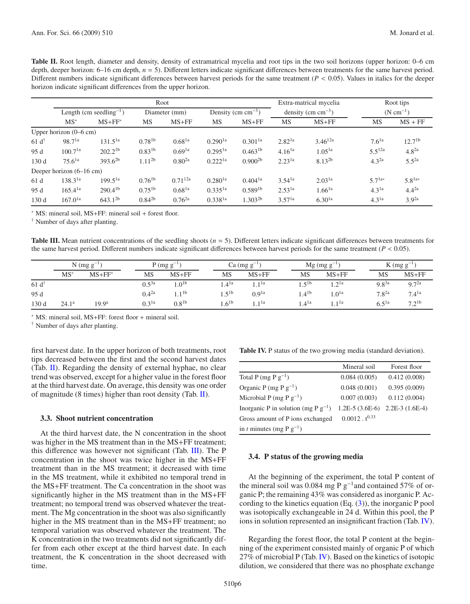<span id="page-5-0"></span>Table II. Root length, diameter and density, density of extramatrical mycelia and root tips in the two soil horizons (upper horizon: 0–6 cm depth, deeper horizon: 6–16 cm depth,  $n = 5$ ). Different letters indicate significant differences between treatments for the same harvest period. Different numbers indicate significant differences between harvest periods for the same treatment (*P* < 0.05). Values in italics for the deeper horizon indicate significant differences from the upper horizon.

<span id="page-5-1"></span>

|                  | Root                               |                                     |             |               |                       |                                | Extra-matrical mycelia |                         |             | Root tips     |  |
|------------------|------------------------------------|-------------------------------------|-------------|---------------|-----------------------|--------------------------------|------------------------|-------------------------|-------------|---------------|--|
|                  |                                    | Length (cm seedling <sup>-1</sup> ) |             | Diameter (mm) |                       | Density (cm $\text{cm}^{-3}$ ) |                        | density (cm $cm^{-3}$ ) |             | $(N cm^{-1})$ |  |
|                  | $MS^*$                             | $MS + FF^*$                         | MS          | $MS + FF$     | <b>MS</b>             | $MS + FF$                      | MS                     | $MS + FF$               | MS          | $MS + FF$     |  |
|                  | Upper horizon $(0-6 \text{ cm})$   |                                     |             |               |                       |                                |                        |                         |             |               |  |
| $61 d^{\dagger}$ | $98.7^{1a}$                        | $131.5^{1a}$                        | $0.78^{1b}$ | $0.68^{1a}$   | $0.290$ <sup>1a</sup> | $0.301$ <sup>1a</sup>          | $2.82^{1a}$            | $3.46^{12a}$            | $7.6^{1a}$  | $12.7^{1b}$   |  |
| 95 d             | $100.7^{1a}$                       | $202.2^{1b}$                        | $0.83^{1b}$ | $0.69^{1a}$   | $0.295$ <sup>1a</sup> | $0.463^{1b}$                   | $4.16^{1a}$            | $1.05^{1a}$             | $5.5^{12a}$ | $4.8^{2a}$    |  |
| 130d             | $75.6^{1a}$                        | $393.6^{2b}$                        | $1.11^{2b}$ | $0.80^{2a}$   | $0.222^{1a}$          | $0.900^{2b}$                   | $2.23^{1a}$            | $8.13^{2b}$             | $4.3^{2a}$  | $5.5^{2a}$    |  |
|                  | Deeper horizon $(6-16 \text{ cm})$ |                                     |             |               |                       |                                |                        |                         |             |               |  |
| 61d              | $138.3^{1a}$                       | $199.5^{1a}$                        | $0.76^{1b}$ | $0.71^{12a}$  | $0.280^{1a}$          | $0.404^{1a}$                   | $3.54^{1a}$            | $2.03^{1a}$             | $5.7^{1a*}$ | $5.8^{1a*}$   |  |
| 95 d             | $165.4^{1a}$                       | $290.4^{1b}$                        | $0.75^{1b}$ | $0.68^{1a}$   | $0.335$ <sup>1a</sup> | $0.589$ <sup>1b</sup>          | $2.53^{1a}$            | $1.66^{1a}$             | $4.3^{1a}$  | $4.4^{2a}$    |  |
| 130d             | $167.0^{1a}$                       | $643.1^{2b}$                        | $0.84^{2b}$ | $0.76^{2a}$   | $0.338$ <sup>1a</sup> | $1.303^{2b}$                   | $3.57^{1a}$            | $6.30^{1a}$             | $4.3^{1a}$  | $3.9^{2a}$    |  |

<sup>∗</sup> MS: mineral soil, MS+FF: mineral soil + forest floor.

† Number of days after planting.

**Table III.** Mean nutrient concentrations of the seedling shoots  $(n = 5)$ . Different letters indicate significant differences between treatments for the same harvest period. Different numbers indicate significant differences between harvest periods for the same treatment (*P* < 0.05).

|                  |          | N (mg $g^{-1}$    |                   | $P(mg g^{-1})$ |            | $Ca (mg g^{-1})$ |                 | $Mg$ (mg g <sup>-1</sup> ) |            | $K (mg g^{-1})$ |
|------------------|----------|-------------------|-------------------|----------------|------------|------------------|-----------------|----------------------------|------------|-----------------|
|                  | $MS^*$   | $MS + FF^*$       | MS                | $MS + FF$      | MS         | $MS + FF$        | MS              | $MS + FF$                  | MS         | $MS + FF$       |
| $61 d^{\dagger}$ |          |                   | $0.5^{3a}$        | $1.0^{1b}$     | $1.4^{1a}$ | 1 <sup>la</sup>  | 51b             | $\gamma$ la                | $9.8^{3a}$ | $9.7^{2a}$      |
| 95d              |          |                   | $0.4^{2a}$        | $1.1^{1b}$     | 51b        | $0.9^{1a}$       | $.4^{1b}$       | .0 <sup>1a</sup>           | $7.8^{2a}$ | $7.4^{1a}$      |
| 130d             | $24.1^a$ | 19.9 <sup>a</sup> | 0.3 <sup>1a</sup> | $0.8^{1b}$     | $.6^{1b}$  | 1 <sup>la</sup>  | 4 <sup>1a</sup> | 1 <sup>la</sup>            | $6.5^{1a}$ | $7.2^{1b}$      |

<sup>∗</sup> MS: mineral soil, MS+FF: forest floor + mineral soil.

† Number of days after planting.

first harvest date. In the upper horizon of both treatments, root tips decreased between the first and the second harvest dates (Tab. [II\)](#page-5-0). Regarding the density of external hyphae, no clear trend was observed, except for a higher value in the forest floor at the third harvest date. On average, this density was one order of magnitude (8 times) higher than root density (Tab. [II\)](#page-5-0).

## **3.3. Shoot nutrient concentration**

At the third harvest date, the N concentration in the shoot was higher in the MS treatment than in the MS+FF treatment; this difference was however not significant (Tab. [III\)](#page-5-1). The P concentration in the shoot was twice higher in the MS+FF treatment than in the MS treatment; it decreased with time in the MS treatment, while it exhibited no temporal trend in the MS+FF treatment. The Ca concentration in the shoot was significantly higher in the MS treatment than in the MS+FF treatment; no temporal trend was observed whatever the treatment. The Mg concentration in the shoot was also significantly higher in the MS treatment than in the MS+FF treatment; no temporal variation was observed whatever the treatment. The K concentration in the two treatments did not significantly differ from each other except at the third harvest date. In each treatment, the K concentration in the shoot decreased with time.

<span id="page-5-2"></span>Table IV. P status of the two growing media (standard deviation).

|                                          | Mineral soil            | Forest floor     |
|------------------------------------------|-------------------------|------------------|
| Total P (mg P $g^{-1}$ )                 | 0.084(0.005)            | 0.412(0.008)     |
| Organic P (mg P $g^{-1}$ )               | 0.048(0.001)            | 0.395(0.009)     |
| Microbial P (mg P $g^{-1}$ )             | 0.007(0.003)            | 0.112(0.004)     |
| Inorganic P in solution (mg P $g^{-1}$ ) | $1.2E-5(3.6E-6)$        | $2.2E-3(1.6E-4)$ |
| Gross amount of P ions exchanged         | $0.0012 \cdot t^{0.33}$ |                  |
| in t minutes (mg P $g^{-1}$ )            |                         |                  |

## **3.4. P status of the growing media**

At the beginning of the experiment, the total P content of the mineral soil was 0.084 mg P  $g^{-1}$  and contained 57% of organic P; the remaining 43% was considered as inorganic P. According to the kinetics equation  $(Eq. (3))$  $(Eq. (3))$  $(Eq. (3))$ , the inorganic P pool was isotopically exchangeable in 24 d. Within this pool, the P ions in solution represented an insignificant fraction (Tab. [IV\)](#page-5-2).

Regarding the forest floor, the total P content at the beginning of the experiment consisted mainly of organic P of which 27% of microbial P (Tab. [IV\)](#page-5-2). Based on the kinetics of isotopic dilution, we considered that there was no phosphate exchange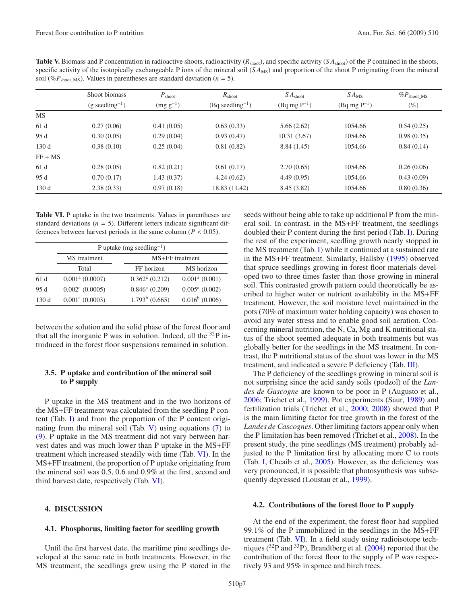<span id="page-6-0"></span>**Table V.** Biomass and P concentration in radioactive shoots, radioactivity ( $R_{\text{shoot}}$ ), and specific activity ( $S A_{\text{shoot}}$ ) of the P contained in the shoots, specific activity of the isotopically exchangeable P ions of the mineral soil  $(S A_{MS})$  and proportion of the shoot P originating from the mineral soil (% $P_{\text{shoot MS}}$ ). Values in parentheses are standard deviation (*n* = 5).

<span id="page-6-1"></span>

|           | Shoot biomass               | $P_{\text{shoot}}$ | $R_{\text{shoot}}$             | $SA_{\text{shoot}}$    | $S_{\rm AMS}$          | $\%P_{\rm shoot\_MS}$ |
|-----------|-----------------------------|--------------------|--------------------------------|------------------------|------------------------|-----------------------|
|           | $(g \text{ seedling}^{-1})$ | $(mg g^{-1})$      | $(Bq$ seedling <sup>-1</sup> ) | $(Bq \, mg \, P^{-1})$ | $(Bq \, mg \, P^{-1})$ | $(\%)$                |
| MS        |                             |                    |                                |                        |                        |                       |
| 61d       | 0.27(0.06)                  | 0.41(0.05)         | 0.63(0.33)                     | 5.66(2.62)             | 1054.66                | 0.54(0.25)            |
| 95 d      | 0.30(0.05)                  | 0.29(0.04)         | 0.93(0.47)                     | 10.31(3.67)            | 1054.66                | 0.98(0.35)            |
| 130d      | 0.38(0.10)                  | 0.25(0.04)         | 0.81(0.82)                     | 8.84(1.45)             | 1054.66                | 0.84(0.14)            |
| $FF + MS$ |                             |                    |                                |                        |                        |                       |
| 61 d      | 0.28(0.05)                  | 0.82(0.21)         | 0.61(0.17)                     | 2.70(0.65)             | 1054.66                | 0.26(0.06)            |
| 95 d      | 0.70(0.17)                  | 1.43(0.37)         | 4.24(0.62)                     | 4.49(0.95)             | 1054.66                | 0.43(0.09)            |
| 130d      | 2.38(0.33)                  | 0.97(0.18)         | 18.83 (11.42)                  | 8.45(3.82)             | 1054.66                | 0.80(0.36)            |

**Table VI.** P uptake in the two treatments. Values in parentheses are standard deviations  $(n = 5)$ . Different letters indicate significant differences between harvest periods in the same column ( $P < 0.05$ ).

| P uptake (mg seedling <sup>-1</sup> ) |                                 |                                |                            |  |  |
|---------------------------------------|---------------------------------|--------------------------------|----------------------------|--|--|
|                                       | MS+FF treatment<br>MS treatment |                                |                            |  |  |
|                                       | Total                           | FF horizon                     | MS horizon                 |  |  |
| 61 d                                  | $0.001a$ (0.0007)               | $0.362$ <sup>a</sup> $(0.212)$ | $0.001a$ (0.001)           |  |  |
| 95 d                                  | $0.002a$ (0.0005)               | $0.846^{\mathrm{a}}$ (0.209)   | $0.005^{\text{a}}$ (0.002) |  |  |
| 130 d                                 | $0.001a$ (0.0003)               | $1.793b$ (0.665)               | $0.016^b$ (0.006)          |  |  |

between the solution and the solid phase of the forest floor and that all the inorganic P was in solution. Indeed, all the  $^{32}P$  introduced in the forest floor suspensions remained in solution.

## **3.5. P uptake and contribution of the mineral soil to P supply**

P uptake in the MS treatment and in the two horizons of the MS+FF treatment was calculated from the seedling P content (Tab. [I\)](#page-4-1) and from the proportion of the P content originating from the mineral soil (Tab.  $V$ ) using equations [\(7\)](#page-4-2) to [\(9\)](#page-4-3). P uptake in the MS treatment did not vary between harvest dates and was much lower than P uptake in the MS+FF treatment which increased steadily with time (Tab. [VI\)](#page-6-1). In the MS+FF treatment, the proportion of P uptake originating from the mineral soil was 0.5, 0.6 and 0.9% at the first, second and third harvest date, respectively (Tab. [VI\)](#page-6-1).

## **4. DISCUSSION**

#### **4.1. Phosphorus, limiting factor for seedling growth**

Until the first harvest date, the maritime pine seedlings developed at the same rate in both treatments. However, in the MS treatment, the seedlings grew using the P stored in the

seeds without being able to take up additional P from the mineral soil. In contrast, in the MS+FF treatment, the seedlings doubled their P content during the first period (Tab. [I\)](#page-4-1). During the rest of the experiment, seedling growth nearly stopped in the MS treatment (Tab. [I\)](#page-4-1) while it continued at a sustained rate in the MS+FF treatment. Similarly, Hallsby [\(1995\)](#page-8-27) observed that spruce seedlings growing in forest floor materials developed two to three times faster than those growing in mineral soil. This contrasted growth pattern could theoretically be ascribed to higher water or nutrient availability in the MS+FF treatment. However, the soil moisture level maintained in the pots (70% of maximum water holding capacity) was chosen to avoid any water stress and to enable good soil aeration. Concerning mineral nutrition, the N, Ca, Mg and K nutritional status of the shoot seemed adequate in both treatments but was globally better for the seedlings in the MS treatment. In contrast, the P nutritional status of the shoot was lower in the MS treatment, and indicated a severe P deficiency (Tab. [III\)](#page-5-1).

The P deficiency of the seedlings growing in mineral soil is not surprising since the acid sandy soils (podzol) of the *Landes de Gascogne* are known to be poor in P (Augusto et al., [2006;](#page-7-1) Trichet et al., [1999\)](#page-8-12). Pot experiments (Saur, [1989\)](#page-8-28) and fertilization trials (Trichet et al., [2000;](#page-8-29) [2008\)](#page-8-30) showed that P is the main limiting factor for tree growth in the forest of the *Landes de Cascognes*. Other limiting factors appear only when the P limitation has been removed (Trichet et al., [2008\)](#page-8-30). In the present study, the pine seedlings (MS treatment) probably adjusted to the P limitation first by allocating more C to roots (Tab. [I,](#page-4-1) Cheaib et al., [2005\)](#page-8-31). However, as the deficiency was very pronounced, it is possible that photosynthesis was subsequently depressed (Loustau et al., [1999\)](#page-8-32).

#### **4.2. Contributions of the forest floor to P supply**

At the end of the experiment, the forest floor had supplied 99.1% of the P immobilized in the seedlings in the MS+FF treatment (Tab. [VI\)](#page-6-1). In a field study using radioisotope techniques (32P and 33P), Brandtberg et al. [\(2004](#page-8-5)) reported that the contribution of the forest floor to the supply of P was respectively 93 and 95% in spruce and birch trees.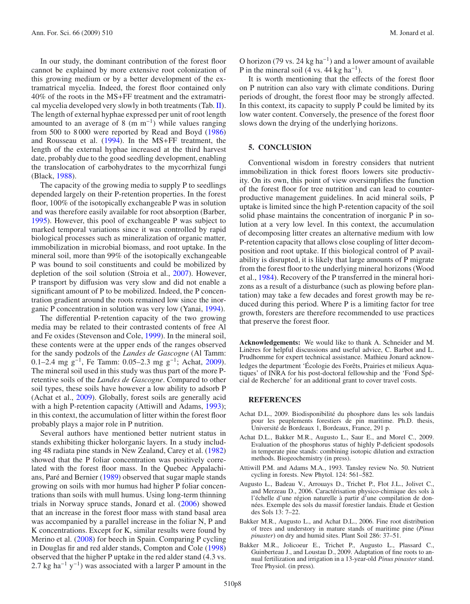In our study, the dominant contribution of the forest floor cannot be explained by more extensive root colonization of this growing medium or by a better development of the extramatrical mycelia. Indeed, the forest floor contained only 40% of the roots in the MS+FF treatment and the extramatrical mycelia developed very slowly in both treatments (Tab.  $II$ ). The length of external hyphae expressed per unit of root length amounted to an average of 8  $(m m<sup>-1</sup>)$  while values ranging from 500 to 8 000 were reported by Read and Boyd [\(1986](#page-8-33)) and Rousseau et al. [\(1994\)](#page-8-34). In the MS+FF treatment, the length of the external hyphae increased at the third harvest date, probably due to the good seedling development, enabling the translocation of carbohydrates to the mycorrhizal fungi (Black, [1988\)](#page-8-35).

The capacity of the growing media to supply P to seedlings depended largely on their P-retention properties. In the forest floor, 100% of the isotopically exchangeable P was in solution and was therefore easily available for root absorption (Barber, [1995\)](#page-8-36). However, this pool of exchangeable P was subject to marked temporal variations since it was controlled by rapid biological processes such as mineralization of organic matter, immobilization in microbial biomass, and root uptake. In the mineral soil, more than 99% of the isotopically exchangeable P was bound to soil constituents and could be mobilized by depletion of the soil solution (Stroia et al., [2007\)](#page-8-37). However, P transport by diffusion was very slow and did not enable a significant amount of P to be mobilized. Indeed, the P concentration gradient around the roots remained low since the inorganic P concentration in solution was very low (Yanai, [1994\)](#page-8-38).

The differential P-retention capacity of the two growing media may be related to their contrasted contents of free Al and Fe oxides (Stevenson and Cole, [1999\)](#page-8-39). In the mineral soil, these contents were at the upper ends of the ranges observed for the sandy podzols of the *Landes de Gascogne* (Al Tamm: 0.1–2.4 mg g−1, Fe Tamm: 0.05–2.3 mg g−1; Achat, [2009\)](#page-7-3). The mineral soil used in this study was thus part of the more Pretentive soils of the *Landes de Gascogne*. Compared to other soil types, these soils have however a low ability to adsorb P (Achat et al., [2009\)](#page-7-2). Globally, forest soils are generally acid with a high P-retention capacity (Attiwill and Adams, [1993](#page-7-0)); in this context, the accumulation of litter within the forest floor probably plays a major role in P nutrition.

Several authors have mentioned better nutrient status in stands exhibiting thicker holorganic layers. In a study including 48 radiata pine stands in New Zealand, Carey et al. [\(1982](#page-8-40)) showed that the P foliar concentration was positively correlated with the forest floor mass. In the Quebec Appalachians, Paré and Bernier [\(1989\)](#page-8-10) observed that sugar maple stands growing on soils with mor humus had higher P foliar concentrations than soils with mull humus. Using long-term thinning trials in Norway spruce stands, Jonard et al. [\(2006](#page-8-41)) showed that an increase in the forest floor mass with stand basal area was accompanied by a parallel increase in the foliar N, P and K concentrations. Except for K, similar results were found by Merino et al. [\(2008](#page-8-42)) for beech in Spain. Comparing P cycling in Douglas fir and red alder stands, Compton and Cole [\(1998](#page-8-9)) observed that the higher P uptake in the red alder stand (4.3 vs. 2.7 kg ha<sup>-1</sup> y<sup>-1</sup>) was associated with a larger P amount in the

O horizon (79 vs. 24 kg ha<sup>-1</sup>) and a lower amount of available P in the mineral soil (4 vs. 44 kg ha<sup>-1</sup>).

It is worth mentioning that the effects of the forest floor on P nutrition can also vary with climate conditions. During periods of drought, the forest floor may be strongly affected. In this context, its capacity to supply P could be limited by its low water content. Conversely, the presence of the forest floor slows down the drying of the underlying horizons.

## **5. CONCLUSION**

Conventional wisdom in forestry considers that nutrient immobilization in thick forest floors lowers site productivity. On its own, this point of view oversimplifies the function of the forest floor for tree nutrition and can lead to counterproductive management guidelines. In acid mineral soils, P uptake is limited since the high P-retention capacity of the soil solid phase maintains the concentration of inorganic P in solution at a very low level. In this context, the accumulation of decomposing litter creates an alternative medium with low P-retention capacity that allows close coupling of litter decomposition and root uptake. If this biological control of P availability is disrupted, it is likely that large amounts of P migrate from the forest floor to the underlying mineral horizons (Wood et al., [1984](#page-8-8)). Recovery of the P transferred in the mineral horizons as a result of a disturbance (such as plowing before plantation) may take a few decades and forest growth may be reduced during this period. Where P is a limiting factor for tree growth, foresters are therefore recommended to use practices that preserve the forest floor.

**Acknowledgements:** We would like to thank A. Schneider and M. Linères for helpful discussions and useful advice, C. Barbot and L. Prudhomme for expert technical assistance. Mathieu Jonard acknowledges the department 'Écologie des Forêts, Prairies et milieux Aquatiques' of INRA for his post-doctoral fellowship and the 'Fond Spécial de Recherche' for an additional grant to cover travel costs.

#### **REFERENCES**

- <span id="page-7-3"></span>Achat D.L., 2009. Biodisponibilité du phosphore dans les sols landais pour les peuplements forestiers de pin maritime. Ph.D. thesis, Université de Bordeaux 1, Bordeaux, France, 291 p.
- <span id="page-7-2"></span>Achat D.L., Bakker M.R., Augusto L., Saur E., and Morel C., 2009. Evaluation of the phosphorus status of highly P-deficient spodosols in temperate pine stands: combining isotopic dilution and extraction methods. Biogeochemistry (in press).
- <span id="page-7-0"></span>Attiwill P.M. and Adams M.A., 1993. Tansley review No. 50. Nutrient cycling in forests. New Phytol. 124: 561–582.
- <span id="page-7-1"></span>Augusto L., Badeau V., Arrouays D., Trichet P., Flot J.L., Jolivet C., and Merzeau D., 2006. Caractérisation physico-chimique des sols à l'échelle d'une région naturelle à partir d'une compilation de données. Exemple des sols du massif forestier landais. Etude et Gestion des Sols 13: 7–22.
- <span id="page-7-4"></span>Bakker M.R., Augusto L., and Achat D.L., 2006. Fine root distribution of trees and understory in mature stands of maritime pine (*Pinus pinaster*) on dry and humid sites. Plant Soil 286: 37–51.
- <span id="page-7-5"></span>Bakker M.R., Jolicoeur E., Trichet P., Augusto L., Plassard C., Guinberteau J., and Loustau D., 2009. Adaptation of fine roots to annual fertilization and irrigation in a 13-year-old *Pinus pinaster* stand. Tree Physiol. (in press).